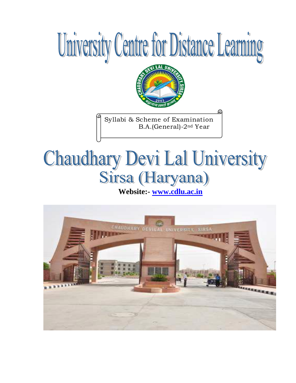## University Centre for Distance Learning



Syllabi & Scheme of Examination B.A.(General)-2nd Year

# **Chaudhary Devi Lal University**

**Website:- [www.cdlu.ac.in](http://www.cdlu.ac.in/)** 

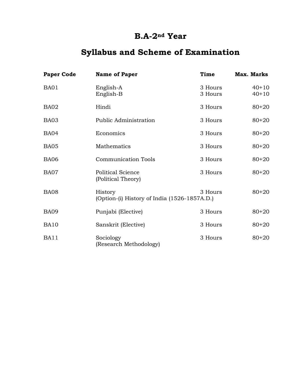#### **B.A-2nd Year**

#### **Syllabus and Scheme of Examination**

| <b>Paper Code</b> | <b>Name of Paper</b>                                    | Time               | <b>Max. Marks</b>  |
|-------------------|---------------------------------------------------------|--------------------|--------------------|
| BA01              | English-A<br>English-B                                  | 3 Hours<br>3 Hours | $40+10$<br>$40+10$ |
| BA02              | Hindi                                                   | 3 Hours            | $80 + 20$          |
| BA03              | <b>Public Administration</b>                            | 3 Hours            | $80 + 20$          |
| <b>BA04</b>       | Economics                                               | 3 Hours            | $80 + 20$          |
| <b>BA05</b>       | Mathematics                                             | 3 Hours            | $80 + 20$          |
| <b>BA06</b>       | <b>Communication Tools</b>                              | 3 Hours            | $80 + 20$          |
| BA07              | <b>Political Science</b><br>(Political Theory)          | 3 Hours            | $80 + 20$          |
| <b>BA08</b>       | History<br>(Option-(i) History of India (1526-1857A.D.) | 3 Hours            | $80 + 20$          |
| <b>BA09</b>       | Punjabi (Elective)                                      | 3 Hours            | $80 + 20$          |
| <b>BA10</b>       | Sanskrit (Elective)                                     | 3 Hours            | $80 + 20$          |
| <b>BA11</b>       | Sociology<br>(Research Methodology)                     | 3 Hours            | $80 + 20$          |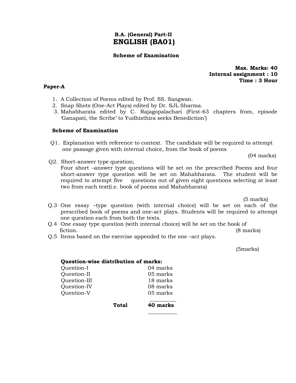#### **B.A. (General) Part-II ENGLISH (BA01)**

#### **Scheme of Examination**

**Max. Marks: 40 Internal assignment : 10 Time : 3 Hour**

#### **Paper-A**

- 1. A Collection of Poems edited by Prof. SS. Sangwan.
- 2. Snap Shots (One-Act Plays) edited by Dr. SJL Sharma.
- 3. Mahabharata edited by C. Rajagopalachari (First-63 chapters from, episode 'Ganapati, the Scribe' to Yudhisthira seeks Benediction')

#### **Scheme of Examination**

Q1. Explanation with reference to context. The candidate will be required to attempt one passage given with internal choice, from the book of poems

(04 marks)

Q2. Short-answer type question;

Four short –answer type questions will be set on the prescribed Poems and four short-answer type question will be set on Mahabharata. The student will be required to attempt five questions out of given eight questions selecting at least two from each text(i.e. book of poems and Mahabharata)

(5 marks)

- Q.3 One essay –type question (with internal choice) will be set on each of the prescribed book of poems and one-act plays. Students will be required to attempt one question each from both the texts.
- Q.4 One essay type question (with internal choice) will be set on the book of fiction. (8 marks)
- Q.5 Items based on the exercise appended to the one –act plays.

(5marks)

| Question-wise distribution of marks: |       |          |  |
|--------------------------------------|-------|----------|--|
| Question-I                           |       | 04 marks |  |
| Question-II                          |       | 05 marks |  |
| Question-III                         |       | 18 marks |  |
| Question-IV                          |       | 08 marks |  |
| Question-V                           |       | 05 marks |  |
|                                      | Total | 40 marks |  |
|                                      |       |          |  |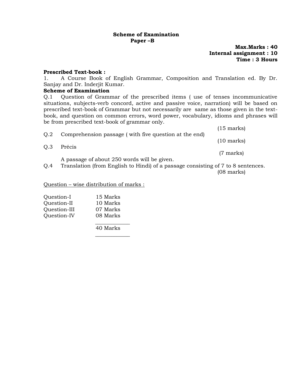#### **Scheme of Examination Paper –B**

**Max.Marks : 40 Internal assignment : 10 Time : 3 Hours**

#### **Prescribed Text-book :**

1. A Course Book of English Grammar, Composition and Translation ed. By Dr. Sanjay and Dr. Inderjit Kumar.

#### **Scheme of Examination**

Q.1 Question of Grammar of the prescribed items ( use of tenses incommunicative situations, subjects-verb concord, active and passive voice, narration) will be based on prescribed text-book of Grammar but not necessarily are same as those given in the textbook, and question on common errors, word power, vocabulary, idioms and phrases will be from prescribed text-book of grammar only.

| O.2 | Comprehension passage (with five question at the end) | $(15 \text{ marks})$ |
|-----|-------------------------------------------------------|----------------------|
|     |                                                       | $(10 \text{ marks})$ |
| Q.3 | Précis                                                | $(7 \text{ marks})$  |
|     | A passage of about 250 words will be given.           |                      |

Q.4 Translation (from English to Hindi) of a passage consisting of 7 to 8 sentences. (08 marks)

Question – wise distribution of marks :

| 15 Marks |
|----------|
| 10 Marks |
| 07 Marks |
| 08 Marks |
|          |

40 Marks

 $\frac{1}{\sqrt{2}}$  ,  $\frac{1}{\sqrt{2}}$  ,  $\frac{1}{\sqrt{2}}$  ,  $\frac{1}{\sqrt{2}}$  ,  $\frac{1}{\sqrt{2}}$  ,  $\frac{1}{\sqrt{2}}$  ,  $\frac{1}{\sqrt{2}}$  ,  $\frac{1}{\sqrt{2}}$  ,  $\frac{1}{\sqrt{2}}$  ,  $\frac{1}{\sqrt{2}}$  ,  $\frac{1}{\sqrt{2}}$  ,  $\frac{1}{\sqrt{2}}$  ,  $\frac{1}{\sqrt{2}}$  ,  $\frac{1}{\sqrt{2}}$  ,  $\frac{1}{\sqrt{2}}$ 

 $\frac{1}{\sqrt{2}}$  ,  $\frac{1}{\sqrt{2}}$  ,  $\frac{1}{\sqrt{2}}$  ,  $\frac{1}{\sqrt{2}}$  ,  $\frac{1}{\sqrt{2}}$  ,  $\frac{1}{\sqrt{2}}$  ,  $\frac{1}{\sqrt{2}}$  ,  $\frac{1}{\sqrt{2}}$  ,  $\frac{1}{\sqrt{2}}$  ,  $\frac{1}{\sqrt{2}}$  ,  $\frac{1}{\sqrt{2}}$  ,  $\frac{1}{\sqrt{2}}$  ,  $\frac{1}{\sqrt{2}}$  ,  $\frac{1}{\sqrt{2}}$  ,  $\frac{1}{\sqrt{2}}$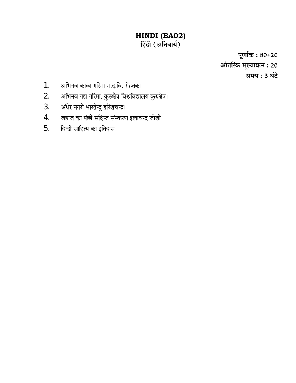### **HINDI (BA02)**

पूर्णाक : 80+20 आंतरिक मूल्यांकन : 20 समय : 3 घंटे

- अभिनव काव्य गरिमा म.द.वि. रोहतक। 1.
- अभिनव गद्य गरिमा, कुरुक्षेत्र विश्वविद्यालय कुरुक्षेत्र। 2.
- अंधेर नगरी भारतेन्दु हरिशचन्द्र। 3.
- जहाज का पंछी संक्षिप्त संस्करण इलाचन्द्र जोशी। 4.
- हिन्दी साहित्य का इतिहास। 5.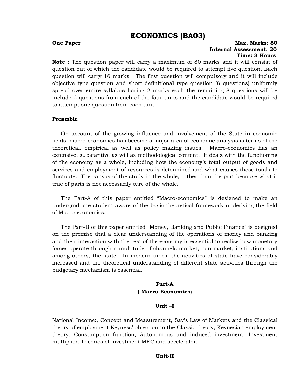#### **ECONOMICS (BA03)**

#### **One Paper Max. Marks: 80 Internal Assessment: 20 Time: 3 Hours**

**Note :** The question paper will carry a maximum of 80 marks and it will consist of question out of which the candidate would be required to attempt five question. Each question will carry 16 marks. The first question will compulsory and it will include objective type question and short definitional type question (8 questions) uniformly spread over entire syllabus haring 2 marks each the remaining 8 questions will be include 2 questions from each of the four units and the candidate would be required to attempt one question from each unit.

#### **Preamble**

On account of the growing influence and involvement of the State in economic fields, macro-economics has become a major area of economic analysis is terms of the theoretical, empirical as well as policy making issues. Macro-economics has an extensive, substantive as will as methodological content. It deals with the functioning of the economy as a whole, including how the economy"s total output of goods and services and employment of resources is detennined and what causes these totals to fluctuate. The canvas of the study in the whole, rather than the part because what it true of parts is not necessarily ture of the whole.

The Part-A of this paper entitled "Macro-economics" is designed to make an undergraduate student aware of the basic theoretical framework underlying the field of Macro-economics.

The Part-B of this paper entitled "Money, Banking and Public Finance" is designed on the premise that a clear understanding of the operations of money and banking and their interaction with the rest of the economy is essential to realize how monetary forces operate through a multitude of channels-market, non-market, institutions and among others, the state. In modern times, the activities of state have considerably increased and the theoretical understanding of different state activities through the budgetary mechanism is essential.

#### **Part-A ( Macro Economics)**

#### **Unit –I**

National Income:, Concept and Measurement, Say"s Law of Markets and the Classical theory of employment Keyness" objection to the Classic theory, Keynesian employment theory, Consumption function; Autonomous and induced investment; Investment multiplier, Theories of investment MEC and accelerator.

#### **Unit-II**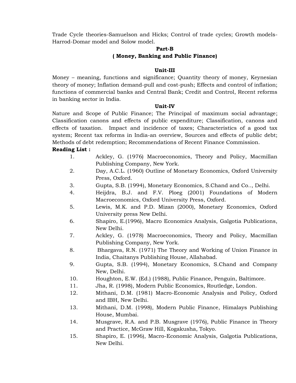Trade Cycle theories-Samuelson and Hicks; Control of trade cycles; Growth models-Harrod-Domar model and Solow model.

#### **Part-B**

#### **( Money, Banking and Public Finance)**

#### **Unit-III**

Money – meaning, functions and significance; Quantity theory of money, Keynesian theory of money; Inflation demand-pull and cost-push; Effects and control of inflation; functions of commercial banks and Central Bank; Credit and Control, Recent reforms in banking sector in India.

#### **Unit-IV**

Nature and Scope of Public Finance; The Principal of maximum social advantage; Classification canons and effects of public expenditure; Classification, canons and effects of taxation. Impact and incidence of taxes; Characteristics of a good tax system; Recent tax reforms in India-an overview, Sources and effects of public debt; Methods of debt redemption; Recommendations of Recent Finance Commission.

#### **Reading List :**

- 1. Ackley, G. (1976) Macroeconomics, Theory and Policy, Macmillan Publishing Company, New York.
- 2. Day, A.C.L. (1960) Outline of Monetary Economics, Oxford University Press, Oxford.
- 3. Gupta, S.B. (1994), Monetary Economics, S.Chand and Co.., Delhi.
- 4. Heijdra, B.J. and F.V. Ploeg (2001) Foundations of Modern Macroeconomics, Oxford University Press, Oxford.
- 5. Lewis, M.K. and P.D. Mizan (2000), Monetary Economics, Oxford University press New Delhi.
- 6. Shapiro, E.(1996), Macro Economics Analysis, Galgotia Publications, New Delhi.
- 7. Ackley, G. (1978) Macroeconomics, Theory and Policy, Macmillan Publishing Company, New York.
- 8. Bhargava, R.N. (1971) The Theory and Working of Union Finance in India, Chaitanys Publishing House, Allahabad.
- 9. Gupta, S.B. (1994), Monetary Economics, S.Chand and Company New, Delhi.
- 10. Houghton, E.W. (Ed.) (1988), Public Finance, Penguin, Baltimore.
- 11. Jha, R. (1998), Modern Public Economics, Routledge, London.
- 12. Mithani, D.M. (1981) Macro-Economic Analysis and Policy, Oxford and IBH, New Delhi.
- 13. Mithani, D.M. (1998), Modern Public Finance, Himalays Publishing House, Mumbai.
- 14. Musgrave, R.A. and P.B. Musgrave (1976), Public Finance in Theory and Practice, McGraw Hill, Kogakusha, Tokyo.
- 15. Shapiro, E. (1996), Macro-Economic Analysis, Galgotia Publications, New Delhi.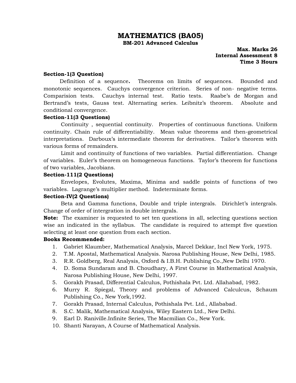#### **MATHEMATICS (BA05)**

**BM-201 Advanced Calculus**

 **Max. Marks 26 Internal Assessment 8 Time 3 Hours**

#### **Section-1(3 Question)**

Definition of a sequence**.** Theorems on limits of sequences. Bounded and monotonic sequences. Cauchys convergence criterion. Series of non- negative terms. Comparision tests. Cauchys internal test. Ratio tests. Raabe"s de Morgan and Bertrand's tests, Gauss test. Alternating series. Leibnitz's theorem. Absolute and conditional convergence.

#### **Section-11(3 Questions)**

Continuity , sequential continuity. Properties of continuous functions. Uniform continuity. Chain rule of differentiability. Mean value theorems and then-geometrical interpretations. Darboux"s intermediate theorem for derivatives. Tailor"s theorem with various forms of remainders.

Limit and continuity of functions of two variables. Partial differentiation. Change of variables. Euler"s theorem on homogeneous functions. Taylor"s theorem for functions of two variables, Jacobians.

#### **Section-111(2 Questions)**

Envelopes, Evolutes, Maxima, Minima and saddle points of functions of two variables. Lagrange's multiplier method. Indeterminate forms.

#### **Section-IV(2 Questions)**

Beta and Gamma functions, Double and triple intergrals. Dirichlet's intergrals. Change of order of intergration in double intergrals.

**Note:** The examiner is requested to set ten questions in all, selecting questions section wise an indicated in the syllabus. The candidate is required to attempt five question selecting at least one question from each section.

#### **Books Recommended:**

- 1. Gabriet Klaumber, Mathematical Analysis, Marcel Dekkar, Incl New York, 1975.
- 2. T.M. Apostal, Mathematical Analysis. Narosa Publishing House, New Delhi, 1985.
- 3. R.R. Goldberg, Real Analysis, Oxford & I.B.H. Publishing Co.,New Delhi 1970.
- 4. D. Soma Sundaram and B. Choudhary, A First Course in Mathematical Analysis, Narosa Publishing House, New Delhi, 1997.
- 5. Gorakh Prasad, Differential Calculus, Pothishala Pvt. Ltd. Allahabad, 1982.
- 6. Murry R. Spiegal, Theory and problems of Advanced Calculcus, Schaum Publishing Co., New York,1992.
- 7. Gorakh Prasad, Internal Calculus, Pothishala Pvt. Ltd., Allababad.
- 8. S.C. Malik, Mathematical Analysis, Wiley Eastern Ltd., New Delhi.
- 9. Earl D. Raniville.Infinite Series, The Macmilian Co., New York.
- 10. Shanti Narayan, A Course of Mathematical Analysis.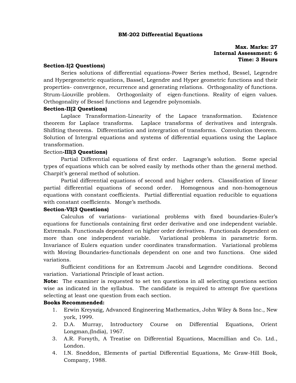#### **BM-202 Differential Equations**

#### **Max. Marks: 27 Internal Assessment: 6 Time: 3 Hours**

#### **Section-I(2 Questions)**

Series solutions of differential equations-Power Series method, Bessel, Legendre and Hypergeometric equations, Bassel, Legendre and Hyper geometric functions and their properties- convergence, recurrence and generating relations. Orthogonality of functions. Strum-Liouville problem. Orthogonlaity of eigen-functions. Reality of eigen values. Orthogonality of Bessel functions and Legendre polynomials.

#### **Section-II(2 Questions)**

Laplace Transformation-Linearity of the Lapace transformation. Existence theorem for Laplace transforms. Laplace transforms of derivatives and intergrals. Shifiting theorems. Differentiation and intergration of transforms. Convolution theorem. Solution of Intergral equations and systems of differential equations using the Laplace transformation.

#### Section**-III(3 Questions)**

Partial Differential equations of first order. Lagrange's solution. Some special types of equations which can be solved easily by methods other than the general method. Charpit"s general method of solution.

Partial differential equations of second and higher orders. Classification of linear partial differential equations of second order. Homogenous and non-homogenous equations with constant coefficients. Partial differential equation reducible to equations with constant coefficients. Monge's methods.

#### **Section-VI(3 Questions)**

Calculus of variations- variational problems with fixed boundaries-Euler"s equations for functionals containing first order derivative and one independent variable. Extremals. Functionals dependent on higher order derivatives. Functionals dependent on more than one independent variable. Variational problems in parametric form. Invariance of Eulers equation under coordinates transformation. Variational problems with Moving Boundaries-functionals dependent on one and two functions. One sided variations.

Sufficient conditions for an Extremum Jacobi and Legendre conditions. Second variation. Variational Principle of least action.

**Note:** The examiner is requested to set ten questions in all selecting questions section wise as indicated in the syllabus. The candidate is required to attempt five questions selecting at least one question from each section.

#### **Books Recommended:**

- 1. Erwin Kreyszig, Advanced Engineering Mathematics, John Wiley & Sons Inc., New york, 1999.
- 2. D.A. Murray, Introductory Course on Differential Equations, Orient Longman,(India), 1967.
- 3. A.R. Forsyth, A Treatise on Differential Equations, Macmillian and Co. Ltd., London.
- 4. I.N. Sneddon, Elements of partial Differential Equations, Mc Graw-Hill Book, Company, 1988.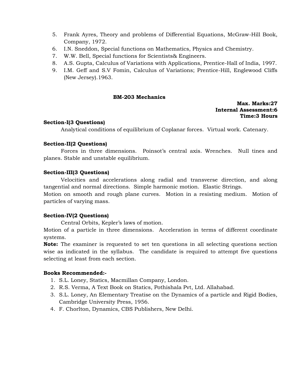- 5. Frank Ayres, Theory and problems of Differential Equations, McGraw-Hill Book, Company, 1972.
- 6. I.N. Sneddon, Special functions on Mathematics, Physics and Chemistry.
- 7. W.W. Bell, Special functions for Scientists& Engineers.
- 8. A.S. Gupta, Calculus of Variations with Applications, Prentice-Hall of India, 1997.
- 9. I.M. Geff and S.V Fomin, Calculus of Variations; Prentice-Hill, Englewood Cliffs (New Jersey).1963.

#### **BM-203 Mechanics**

#### **Max. Marks:27 Internal Assessment:6 Time:3 Hours**

#### **Section-I(3 Questions)**

Analytical conditions of equilibrium of Coplanar forces. Virtual work. Catenary.

#### **Section-II(2 Questions)**

Forces in three dimensions. Poinsot's central axis. Wrenches. Null tines and planes. Stable and unstable equilibrium.

#### **Section-III(3 Questions)**

Velocities and accelerations along radial and transverse direction, and along tangential and normal directions. Simple harmonic motion. Elastic Strings.

Motion on smooth and rough plane curves. Motion in a resisting medium. Motion of particles of varying mass.

#### **Section-IV(2 Questions)**

Central Orbits, Kepler"s laws of motion.

Motion of a particle in three dimensions. Acceleration in terms of different coordinate systems.

**Note:** The examiner is requested to set ten questions in all selecting questions section wise as indicated in the syllabus. The candidate is required to attempt five questions selecting at least from each section.

#### **Books Recommended:-**

- 1. S.L. Loney, Statics, Macmillan Company, London.
- 2. R.S. Verma, A Text Book on Statics, Pothishala Pvt, Ltd. Allahabad.
- 3. S.L. Loney, An Elementary Treatise on the Dynamics of a particle and Rigid Bodies, Cambridge University Press, 1956.
- 4. F. Chorlton, Dynamics, CBS Publishers, New Delhi.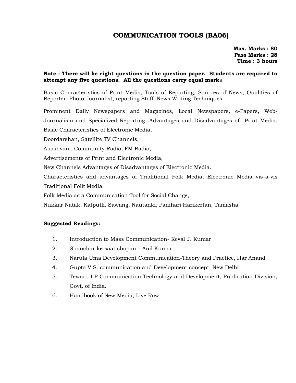#### **COMMUNICATION TOOLS (BA06)**

**Max. Marks : 80 Pass Marks : 28 Time : 3 hours**

#### **Note : There will be eight questions in the question paper. Students are required to attempt any five questions. All the questions carry equal mark**s.

Basic Characteristics of Print Media, Tools of Reporting, Sources of News, Qualities of Reporter, Photo Journalist, reporting Staff, News Writing Techniques.

Prominent Daily Newspapers and Magazines, Local Newspapers, e-Papers, Web-Journalism and Specialized Reporting, Advantages and Disadvantages of Print Media. Basic Characteristics of Electronic Media,

Doordarshan, Satellite TV Channels,

Akashvani, Community Radio, FM Radio,

Advertisements of Print and Electronic Media,

New Channels Advantages of Disadvantages of Electronic Media.

Characteristics and advantages of Traditional Folk Media, Electronic Media vis-à-vis Traditional Folk Media.

Folk Media as a Communication Tool for Social Change,

Nukkar Natak, Katputli, Sawang, Nautanki, Panihari Harikertan, Tamasha.

#### **Suggested Readings:**

- 1. Introduction to Mass Communication- Keval J. Kumar
- 2. Shanchar ke saat shopan Anil Kumar
- 3. Narula Uma Development Communication-Theory and Practice, Har Anand
- 4. Gupta V.S. communication and Development concept, New Delhi
- 5. Tewari, I P Communication Technology and Development, Publication Division, Govt. of India.
- 6. Handbook of New Media, Live Row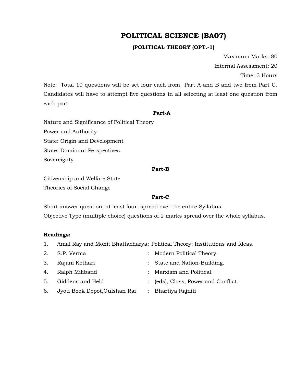#### **POLITICAL SCIENCE (BA07)**

#### **(POLITICAL THEORY (OPT.-1)**

Maximum Marks: 80

Internal Assessment: 20

Time: 3 Hours

Note: Total 10 questions will be set four each from Part A and B and two from Part C. Candidates will have to attempt five questions in all selecting at least one question from each part.

#### **Part-A**

Nature and Significance of Political Theory

Power and Authority

State: Origin and Development

State: Dominant Perspectives.

Sovereignty

#### **Part-B**

Citizenship and Welfare State Theories of Social Change

#### **Part-C**

Short answer question, at least four, spread over the entire Syllabus. Objective Type (multiple choice) questions of 2 marks spread over the whole syllabus.

#### **Readings:**

- 1. Amal Ray and Mohit Bhattacharya: Political Theory: Institutions and Ideas.
- 2. S.P. Verma : Modern Political Theory. 3. Rajani Kothari : State and Nation-Building.
- 4. Ralph Miliband : Marxism and Political.
- 5. Giddens and Held : (eds), Class, Power and Conflict.
- 6. Jyoti Book Depot,Gulshan Rai : Bhartiya Rajniti
-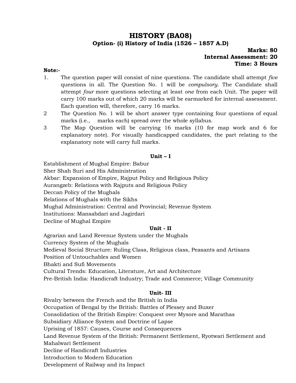#### **HISTORY (BA08) Option- (i) History of India (1526 – 1857 A.D)**

#### **Marks: 80 Internal Assessment: 20 Time: 3 Hours**

#### **Note:-**

- 1. The question paper will consist of nine questions. The candidate shall attempt *five*  questions in all. The Question No. 1 will be *compulsory*. The Candidate shall attempt *four* more questions selecting at least *one* from each Unit. The paper will carry 100 marks out of which 20 marks will be earmarked for internal assessment. Each question will, therefore, carry 16 marks.
- 2 The Question No. 1 will be short answer type containing four questions of equal marks (i.e., marks each) spread over the whole syllabus.
- 3 The Map Question will be carrying 16 marks (10 for map work and 6 for explanatory note). For visually handicapped candidates, the part relating to the explanatory note will carry full marks.

#### **Unit – I**

Establishment of Mughal Empire: Babur

Sher Shah Suri and His Administration

Akbar: Expansion of Empire, Rajput Policy and Religious Policy

Aurangzeb: Relations with Rajputs and Religious Policy

Deccan Policy of the Mughals

Relations of Mughals with the Sikhs

Mughal Administration: Central and Provincial; Revenue System

Institutions: Mansabdari and Jagirdari

Decline of Mughal Empire

#### **Unit - II**

Agrarian and Land Revenue System under the Mughals Currency System of the Mughals Medieval Social Structure: Ruling Class, Religious class, Peasants and Artisans Position of Untouchables and Women Bhakti and Sufi Movements Cultural Trends: Education, Literature, Art and Architecture Pre-British India: Handicraft Industry; Trade and Commerce; Village Community

#### **Unit- III**

Rivalry between the French and the British in India Occupation of Bengal by the British: Battles of Plessey and Buxer Consolidation of the British Empire: Conquest over Mysore and Marathas Subsidiary Alliance System and Doctrine of Lapse Uprising of 1857: Causes, Course and Consequences Land Revenue System of the British: Permanent Settlement, Ryotwari Settlement and Mahalwari Settlement Decline of Handicraft Industries Introduction to Modern Education Development of Railway and its Impact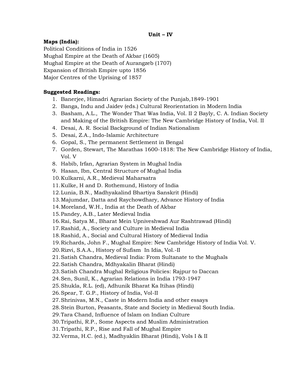#### **Maps (India):**

Political Conditions of India in 1526 Mughal Empire at the Death of Akbar (1605) Mughal Empire at the Death of Aurangzeb (1707) Expansion of British Empire upto 1856 Major Centres of the Uprising of 1857

#### **Suggested Readings:**

- 1. Banerjee, Himadri Agrarian Society of the Punjab,1849-1901
- 2. Banga, Indu and Jaidev (eds.) Cultural Reorientation in Modern India
- 3. Basham, A.L., The Wonder That Was India, Vol. II 2 Bayly, C. A. Indian Society and Making of the British Empire: The New Cambridge History of India, Vol. II
- 4. Desai, A. R. Social Background of Indian Nationalism
- 5. Desai, Z.A., Indo-Islamic Architecture
- 6. Gopal, S., The permanent Settlement in Bengal
- 7. Gorden, Stewart, The Marathas 1600-1818: The New Cambridge History of India, Vol. V
- 8. Habib, Irfan, Agrarian System in Mughal India
- 9. Hasan, Ibn, Central Structure of Mughal India
- 10.Kulkarni, A.R., Medieval Maharsatra
- 11.Kulke, H and D. Rothemund, History of India
- 12.Lunia, B.N., Madhyakalind Bhartiya Sanskrit (Hindi)
- 13.Majumdar, Datta and Raychowdhary, Advance History of India
- 14.Moreland, W.H., India at the Death of Akbar
- 15.Pandey, A.B., Later Medieval India
- 16.Rai, Satya M., Bharat Mein Upniveshwad Aur Rashtrawad (Hindi)
- 17.Rashid, A., Society and Culture in Medieval India
- 18.Rashid, A., Social and Cultural History of Medieval India
- 19.Richards, John F., Mughal Empire: New Cambridge History of India Vol. V.
- 20.Rizvi, S.A.A., History of Sufism In Idia, Vol.-II
- 21.Satish Chandra, Medieval India: From Sultanate to the Mughals
- 22.Satish Chandra, Mdhyakalin Bharat (Hindi)
- 23.Satish Chandra Mughal Religious Policies: Rajpur to Daccan
- 24.Sen, Sunil, K., Agrarian Relations in India 1793-1947
- 25.Shukla, R.L. (ed), Adhunik Bharat Ka Itihas (Hindi)
- 26.Spear, T. G.P., History of India, Vol-II
- 27.Shrinivas, M.N., Caste in Modern India and other essays
- 28.Stein Burton, Peasants, State and Society in Medieval South India.
- 29.Tara Chand, Influence of Islam on Indian Culture
- 30.Tripathi, R.P., Some Aspects and Muslim Administration
- 31.Tripathi, R.P., Rise and Fall of Mughal Empire
- 32.Verma, H.C. (ed.), Madhyaklin Bharat (Hindi), Vols I & II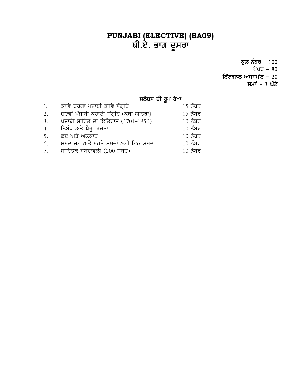#### **PUNJABI (ELECTIVE) (BA09)** ਬੀ.ਏ. ਭਾਗ ਦੂਸਰਾ

ਕੁਲ ਨੰਬਰ – 100 ਪੇਪਰ – 80 ਇੰਟਰਨਲ ਅਸੇਸਮੇਟ - 20 ਸਮਾ<sup>÷</sup> – 3 ਘੰਟੇ

#### ਸਲੇਬਸ ਦੀ ਰੂਪ ਰੇਖਾ

| 1. | ਕਾਵਿ ਤਰੰਗਾ ਪੰਜਾਬੀ ਕਾਵਿ ਸੰਗੁਹਿ           | <u>15 ਨੰਬਰ</u> |
|----|-----------------------------------------|----------------|
| 2. | ਚੋਣਵਾਂ ਪੰਜਾਬੀ ਕਹਾਣੀ ਸੰਗ੍ਰਹਿ (ਕਥਾ ਯਾਤਰਾ) | <u>15 ਨੰਬਰ</u> |
| 3. | ਪੰਜਾਬੀ ਸਾਹਿਤ ਦਾ ਇਤਿਹਾਸ (1701-1850)      | $10\,$ ਨੰਬਰ    |
|    | 4.        ਨਿਬੰਧ ਅਤੇ ਪੈਰ੍ਹਾ ਰਚਨਾ         | $10\,$ ਨੰਬਰ    |
| 5. | ਛੰਦ ਅਤੇ ਅਲੰਕਾਰ                          | $10\,$ ਨੰਬਰ    |
| 6. | ਸ਼ਬਦ ਜੁਟ ਅਤੇ ਬਹੁਤੇ ਸ਼ਬਦਾਂ ਲਈ ਇਕ ਸ਼ਬਦ    | $10\,$ ਨੰਬਰ    |
| 7. | ਸਾਹਿਤਕ ਸ਼ਬਦਾਵਲੀ (200 ਸ਼ਬਦ)              | $10\,$ ਨੰਬਰ    |
|    |                                         |                |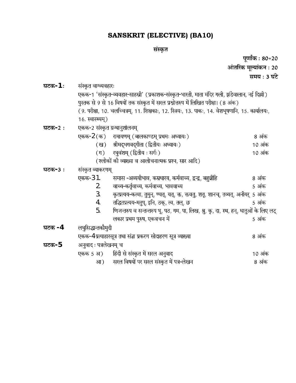#### **SANSKRIT (ELECTIVE) (BA10)**

#### संस्कृत

|            |                                                                                                     | $\cdots$ is the set of $\mathbb{R}^n$                                                 |                       |  |  |
|------------|-----------------------------------------------------------------------------------------------------|---------------------------------------------------------------------------------------|-----------------------|--|--|
|            |                                                                                                     |                                                                                       | पूर्णांक : 80+20      |  |  |
|            |                                                                                                     |                                                                                       | आंतरिक मूल्यांकन : 20 |  |  |
|            |                                                                                                     |                                                                                       | समय : 3 घंटे          |  |  |
| घटक $-1$ : | संस्कृत वाग्व्यवहारः                                                                                |                                                                                       |                       |  |  |
|            | एकक-1 'संस्कृत-व्यवहार-साहस्री' (प्रकाशक-संस्कृत-भारती, माता मंदिर गली, झंडेवालान, नई दिल्ली)       |                                                                                       |                       |  |  |
|            | पुस्तक से 9 से 16 विषयों तक संस्कृत में सरल प्रश्नोत्तरुप में लिखित परीक्षा। (8 अंक)                |                                                                                       |                       |  |  |
|            | ( 9. परीक्षा, 10. चलच्चित्रम्, 11. शिक्षकाः, 12. स्त्रियः, 13. पाकः, 14. वेशभूषणानि, 15. कार्यालयः, |                                                                                       |                       |  |  |
|            | 16. स्वास्थ्यम्)                                                                                    |                                                                                       |                       |  |  |
| घटक-2:     | एकक-2 संस्कृत ग्रन्थानुशोलनम्                                                                       |                                                                                       |                       |  |  |
|            |                                                                                                     | एकक-2 (क) रामायणम् (बालकाण्डम् प्रथमः अध्यायः)                                        | 8 अंक                 |  |  |
|            |                                                                                                     | (ख) श्रीमद्भगवद्गीता (द्वितीयः अध्यायः)                                               | 10 अंक                |  |  |
|            |                                                                                                     | (ग) रघुवंशम् (द्वितीय: सर्गः)                                                         | 10 अंक                |  |  |
|            |                                                                                                     | (श्लोकों की व्याख्या व आलोचनात्मक प्रश्न, सार आदि)                                    |                       |  |  |
| घटक-3:     | संस्कृत व्याकरणम्                                                                                   |                                                                                       |                       |  |  |
|            | एकक-31.                                                                                             | समास -अव्ययीभाव, कम्रधारय, कर्मवाच्य, द्वन्द्व, बहुव्रीहि                             | 8 अंक                 |  |  |
|            | 2.                                                                                                  | वाच्य-कर्तृवाच्य, कर्मवाच्य, भाववाच्य                                                 | 5 अंक                 |  |  |
|            | 3.                                                                                                  | कृत्प्रत्यय-कत्वा, तुमुन्, ण्यत्, यत्, क्त, क्तवतु, शतृ, शानच्, तव्यत्, अनीयर्  5 अंक |                       |  |  |
|            | 4.                                                                                                  | तद्धितप्रत्यय-मतुप्, इनि, ठक्, त्व, तल्, छ                                            | 5 अंक                 |  |  |
|            | 5.                                                                                                  | णिजन्तरुप व सन्तन्तरुप भू, पठ, गम, पा, लिख, श्रु, कृ, दा, स्थ, हन्, धातुओं के लिए लट् |                       |  |  |
|            |                                                                                                     | लकार प्रथम पुरुष, एकवचन में                                                           | 5 अंक                 |  |  |
| घटक $-4$   | लघुसिद्धान्तकौमुदी                                                                                  |                                                                                       |                       |  |  |
|            |                                                                                                     | एकक-4 प्रत्याहारसूत्र तथा संज्ञा प्रकरण सोदाहरण सूत्र व्याख्या                        | 8 अंक                 |  |  |
| घटक- $5$   | अनुवाद : पत्रलेखनम् च                                                                               |                                                                                       |                       |  |  |
|            |                                                                                                     | एकक 5 अ) हिंदी से संस्कृत में सरल अनुवाद                                              | 10 अंक                |  |  |
|            |                                                                                                     | आ) सरल विषयों पर सरल संस्कृत में पत्र-लेखन                                            | 8 अंक                 |  |  |